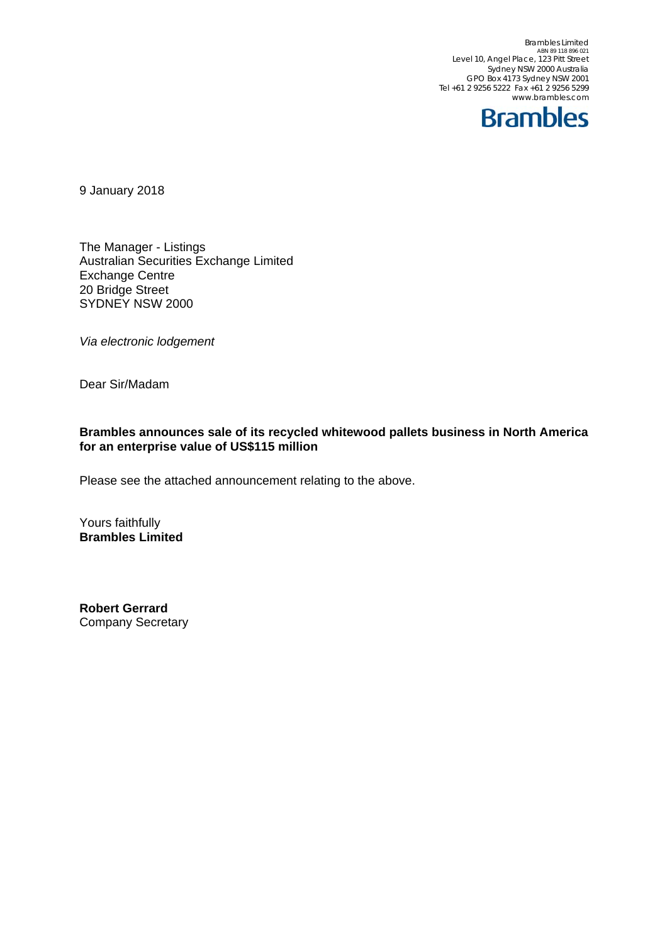Brambles Limited<br>ABN 89 118 896 021 Level 10, Angel Place, 123 Pitt Street Sydney NSW 2000 Australia GPO Box 4173 Sydney NSW 2001 Tel +61 2 9256 5222 Fax +61 2 9256 5299 www.brambles.com



9 January 2018

The Manager - Listings Australian Securities Exchange Limited Exchange Centre 20 Bridge Street SYDNEY NSW 2000

*Via electronic lodgement*

Dear Sir/Madam

## **Brambles announces sale of its recycled whitewood pallets business in North America for an enterprise value of US\$115 million**

Please see the attached announcement relating to the above.

Yours faithfully **Brambles Limited** 

**Robert Gerrard**  Company Secretary